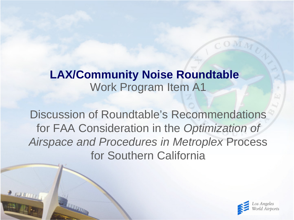# Work Program Item A1 **LAX/Community Noise Roundtable**

Discussion of Roundtable's Recommendations for FAA Consideration in the *Optimization of Airspace and Procedures in Metroplex* Process for Southern California

**REALLY MAY 17** 

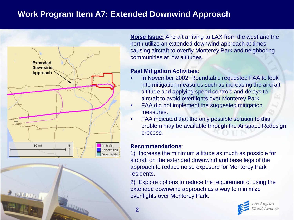# **Work Program Item A7: Extended Downwind Approach**



**Noise Issue:** Aircraft arriving to LAX from the west and the north utilize an extended downwind approach at times causing aircraft to overfly Monterey Park and neighboring communities at low altitudes.

### **Past Mitigation Activities**:

- In November 2002, Roundtable requested FAA to look into mitigation measures such as increasing the aircraft altitude and applying speed controls and delays to aircraft to avoid overflights over Monterey Park.
- FAA did not implement the suggested mitigation measures.
- FAA indicated that the only possible solution to this problem may be available through the Airspace Redesign process.

### **Recommendations**:

1) Increase the minimum altitude as much as possible for aircraft on the extended downwind and base legs of the approach to reduce noise exposure for Monterey Park residents.

2) Explore options to reduce the requirement of using the extended downwind approach as a way to minimize overflights over Monterey Park.

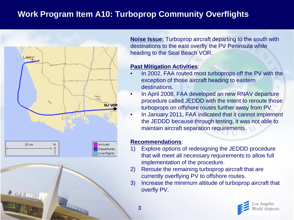# **Work Program Item A10: Turboprop Community Overflights**



**Noise Issue:** Turboprop aircraft departing to the south with destinations to the east overfly the PV Peninsula while heading to the Seal Beach VOR.

# **Past Mitigation Activities**:

- In 2002, FAA routed most turboprops off the PV with the exception of those aircraft heading to eastern destinations.
- In April 2008, FAA developed an new RNAV departure procedure called JEDDD with the intent to reroute those turboprops on offshore routes further away from PV.
- In January 2011, FAA indicated that it cannot implement the JEDDD because through testing, it was not able to maintain aircraft separation requirements.

### **Recommendations**:

- 1) Explore options of redesigning the JEDDD procedure that will meet all necessary requirements to allow full implementation of the procedure.
- 2) Reroute the remaining turboprop aircraft that are currently overflying PV to offshore routes.
- 3) Increase the minimum altitude of turboprop aircraft that overfly PV.

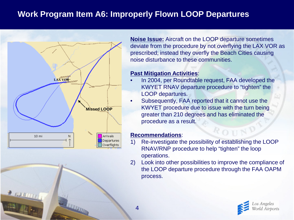# **Work Program Item A6: Improperly Flown LOOP Departures**



**Noise Issue:** Aircraft on the LOOP departure sometimes deviate from the procedure by not overflying the LAX VOR as prescribed; instead they overfly the Beach Cities causing noise disturbance to these communities.

### **Past Mitigation Activities**:

- In 2004, per Roundtable request, FAA developed the KWYET RNAV departure procedure to "tighten" the LOOP departures.
- Subsequently, FAA reported that it cannot use the KWYET procedure due to issue with the turn being greater than 210 degrees and has eliminated the procedure as a result.

#### **Recommendations**:

- 1) Re-investigate the possibility of establishing the LOOP RNAV/RNP procedure to help "tighten" the loop operations.
- 2) Look into other possibilities to improve the compliance of the LOOP departure procedure through the FAA OAPM process.

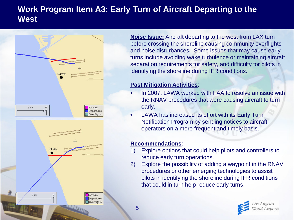# **Work Program Item A3: Early Turn of Aircraft Departing to the West**



**Noise Issue:** Aircraft departing to the west from LAX turn before crossing the shoreline causing community overflights and noise disturbances**.** Some issues that may cause early turns include avoiding wake turbulence or maintaining aircraft separation requirements for safety, and difficulty for pilots in identifying the shoreline during IFR conditions.

### **Past Mitigation Activities**:

- In 2007, LAWA worked with FAA to resolve an issue with the RNAV procedures that were causing aircraft to turn early.
- LAWA has increased its effort with its Early Turn Notification Program by sending notices to aircraft operators on a more frequent and timely basis.

#### **Recommendations**:

- 1) Explore options that could help pilots and controllers to reduce early turn operations.
- 2) Explore the possibility of adding a waypoint in the RNAV procedures or other emerging technologies to assist pilots in identifying the shoreline during IFR conditions that could in turn help reduce early turns.

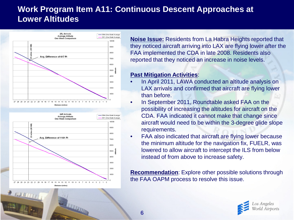# **Work Program Item A11: Continuous Descent Approaches at Lower Altitudes**





**Noise Issue:** Residents from La Habra Heights reported that they noticed aircraft arriving into LAX are flying lower after the FAA implemented the CDA in late 2008. Residents also reported that they noticed an increase in noise levels.

# **Past Mitigation Activities**:

- In April 2011, LAWA conducted an altitude analysis on LAX arrivals and confirmed that aircraft are flying lower than before.
- In September 2011, Roundtable asked FAA on the possibility of increasing the altitudes for aircraft on the CDA. FAA indicated it cannot make that change since aircraft would need to be within the 3-degree glide slope requirements.
- FAA also indicated that aircraft are flying lower because the minimum altitude for the navigation fix, FUELR, was lowered to allow aircraft to intercept the ILS from below instead of from above to increase safety.

**Recommendation**: Explore other possible solutions through the FAA OAPM process to resolve this issue.